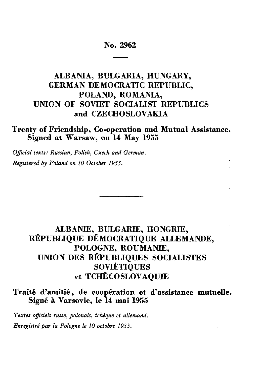### **No. 2962**

# **ALBANIA, BULGARIA, HUNGARY, GERMAN DEMOCRATIC REPUBLIC, POLAND, ROMANIA, UNION OF SOVIET SOCIALIST REPUBLICS and CZECHOSLOVAKIA**

## **Treaty of Friendship, Co-operation and Mutual Assistance. Signed at Warsaw, on 14 May 1955**

*Official texts: Russian, Polish, Czech and German. Registered by Poland on 10 October 1955.*

# **ALBANIE, BULGARIE, HONGRIE, RÉPUBLIQUE DÉMOCRATIQUE ALLEMANDE, POLOGNE, ROUMANIE, UNION DES RÉPUBLIQUES SOCIALISTES SOVIÉTIQUES et TCHÉCOSLOVAQUIE**

**Traité d'amitié, de coopération et d'assistance mutuelle. Signé à Varsovie, le 14 mai 1955**

*Textes officiels russe, polonais, tchèque et allemand. Enregistré par la Pologne le 10 octobre 1955.*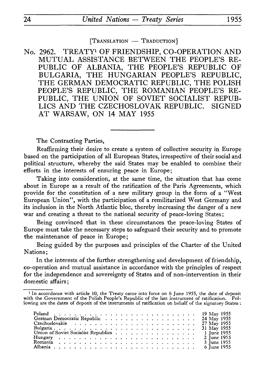### [TRANSLATION - TRADUCTION]

No. 2962. TREATY1 OF FRIENDSHIP, CO-OPERATION AND MUTUAL ASSISTANCE BETWEEN THE PEOPLE'S RE PUBLIC OF ALBANIA, THE PEOPLE'S REPUBLIC OF BULGARIA, THE HUNGARIAN PEOPLE'S REPUBLIC, THE GERMAN DEMOCRATIC REPUBLIC, THE POLISH PEOPLE'S REPUBLIC, THE ROMANIAN PEOPLE'S RE-PUBLIC, THE UNION OF SOVIET SOCIALIST REPUB LICS AND THE CZECHOSLOVAK REPUBLIC. SIGNED AT WARSAW, ON 14 MAY 1955

The Contracting Parties,

Reaffirming their desire to create a system of collective security in Europe based on the participation of all European States, irrespective of their social and political structure, whereby the said States may be enabled to combine their efforts in the interests of ensuring peace in Europe;

Taking into consideration, at the same time, the situation that has come about in Europe as a result of the ratification of the Paris Agreements, which provide for the constitution of a new military group in the form of a "West European Union", with the participation of a remilitarized West Germany and its inclusion in the North Atlantic bloc, thereby increasing the danger of a new war and creating a threat to the national security of peace-loving States;

Being convinced that in these circumstances the peace-loving States of Europe must take the necessary steps to safeguard their security and to promote the maintenance of peace in Europe;

Being guided by the purposes and principles of the Charter of the United Nations ;

In the interests of the further strengthening and development of friendship, co-operation and mutual assistance in accordance with the principles of respect for the independence and sovereignty of States and of non-intervention in their domestic affairs;

<sup>&</sup>lt;sup>1</sup> In accordance with article 10, the Treaty came into force on 6 June 1955, the date of deposit with the Government of the Polish People's Republic of the last instrument of ratification. Fol-

|                                     |  |  |  |  |  |  |  |  |  |  |  |  |  | 24 May 1955 |
|-------------------------------------|--|--|--|--|--|--|--|--|--|--|--|--|--|-------------|
|                                     |  |  |  |  |  |  |  |  |  |  |  |  |  | 27 May 1955 |
| Bulgaria                            |  |  |  |  |  |  |  |  |  |  |  |  |  | 31 May 1955 |
| Union of Soviet Socialist Republics |  |  |  |  |  |  |  |  |  |  |  |  |  | 1 June 1955 |
|                                     |  |  |  |  |  |  |  |  |  |  |  |  |  | 2 June 1955 |
|                                     |  |  |  |  |  |  |  |  |  |  |  |  |  | 3 June 1955 |
|                                     |  |  |  |  |  |  |  |  |  |  |  |  |  | 6 June 1955 |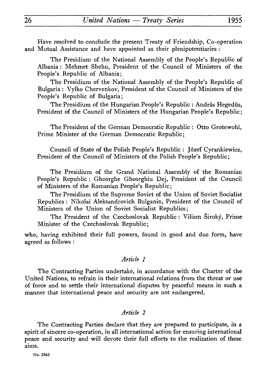Have resolved to conclude the present Treaty of Friendship, Co-operation and Mutual Assistance and have appointed as their plenipotentiaries :

The Presidium of the National Assembly of the People's Republic of Albania : Mehmet Shehu, President of the Council of Ministers of the People's Republic of Albania;

The Presidium of the National Assembly of the People's Republic of Bulgaria : Vylko Chervenkov, President of the Council of Ministers of the People's Republic of Bulgaria;

The Presidium of the Hungarian People's Republic : András Hegedüs, President of the Council of Ministers of the Hungarian People's Republic;

The President of the German Democratic Republic : Otto Grotewohl, Prime Minister of the German Democratic Republic;

Council of State of the Polish People's Republic : Józef Cyrankiewicz, President of the Council of Ministers of the Polish People's Republic;

The Presidium of the Grand National Assembly of the Romanian People's Republic : Gheorghe Gheorghiu Dej, President of the Council of Ministers of the Romanian People's Republic;

The Presidium of the Supreme Soviet of the Union of Soviet Socialist Republics : Nikolai Aleksandrovich Bulganin, President of the Council of Ministers of the Union of Soviet Socialist Republics;

The President of the Czechoslovak Republic : Viliam Siroky, Prime Minister of the Czechoslovak Republic ;

who, having exhibited their full powers, found in good and due form, have agreed as follows :

#### *Article 1*

The Contracting Parties undertake, in accordance with the Charter of the United Nations, to refrain in their international relations from the threat or use of force and to settle their international disputes by peaceful means in such a manner that international peace and security are not endangered.

#### *Article 2*

The Contracting Parties declare that they are prepared to participate, in a spirit of sincere co-operation, in all international action for ensuring international peace and security and will devote their full efforts to the realization of these aims.

No. 2962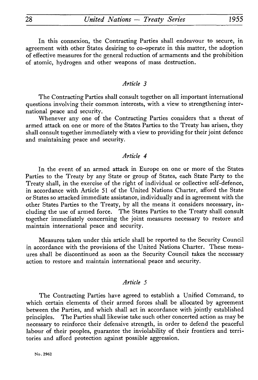In this connexion, the Contracting Parties shall endeavour to secure, in agreement with other States desiring to co-operate in this matter, the adoption of effective measures for the general reduction of armaments and the prohibition of atomic, hydrogen and other weapons of mass destruction.

#### *Article 3*

The Contracting Parties shall consult together on all important international questions involving their common interests, with a view to strengthening inter national peace and security.

Whenever any one of the Contracting Parties considers that a threat of armed attack on one or more of the States Parties to the Treaty has arisen, they shall consult together immediately with a view to providing for their joint defence and maintaining peace and security.

#### *Article 4*

In the event of an armed attack in Europe on one or more of the States Parties to the Treaty by any State or group of States, each State Party to the Treaty shall, in the exercise of the right of individual or collective self-defence, in accordance with Article 51 of the United Nations Charter, afford the State or States so attacked immediate assistance, individually and in agreement with the other States Parties to the Treaty, by all the means it considers necessary, in cluding the use of armed force. The States Parties to the Treaty shall consult together immediately concerning the joint measures necessary to restore and maintain international peace and security.

Measures taken under this article shall be reported to the Security Council in accordance with the provisions of the United Nations Charter. These meas ures shall be discontinued as soon as the Security Council takes the necessary action to restore and maintain international peace and security.

#### *Article 5*

The Contracting Parties have agreed to establish a Unified Command, to which certain elements of their armed forces shall be allocated by agreement between the Parties, and which shall act in accordance with jointly established principles. The Parties shall likewise take such other concerted action as may be necessary to reinforce their defensive strength, in order to defend the peaceful labour of their peoples, guarantee the inviolability of their frontiers and terri tories and afford protection against possible aggression.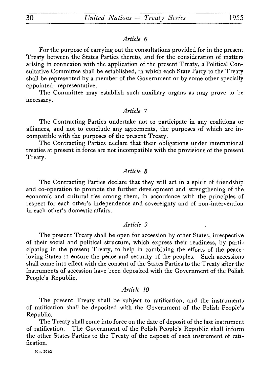#### *Article 6*

For the purpose of carrying out the consultations provided for in the present Treaty between the States Parties thereto, and for the consideration of matters arising in connexion with the application of the present Treaty, a Political Con sultative Committee shall be established, in which each State Party to the Treaty shall be represented by a member of the Government or by some other specially appointed representative.

The Committee may establish such auxiliary organs as may prove to be necessary.

#### *Article 7*

The Contracting Parties undertake not to participate in any coalitions or alliances, and not to conclude any agreements, the purposes of which are in compatible with the purposes of the present Treaty.

The Contracting Parties declare that their obligations under international treaties at present in force are not incompatible with the provisions of the present Treaty.

#### *Article 8*

The Contracting Parties declare that they will act in a spirit of friendship and co-operation to promote the further development and strengthening of the economic and cultural ties among them, in accordance with the principles of respect for each other's independence and sovereignty and of non-intervention in each other's domestic affairs.

#### *Article 9*

The present Treaty shall be open for accession by other States, irrespective of their social and political structure, which express their readiness, by parti cipating in the present Treaty, to help in combining the efforts of the peaceloving States to ensure the peace and security of the peoples. shall come into effect with the consent of the States Parties to the Treaty after the instruments of accession have been deposited with the Government of the Polish People's Republic.

#### *Article 10*

The present Treaty shall be subject to ratification, and the instruments of ratification shall be deposited with the Government of the Polish People's Republic.

The Treaty shall come into force on the date of deposit of the last instrument of ratification. The Government of the Polish People's Republic shall inform the other States Parties to the Treaty of the deposit of each instrument of rati fication.

No. 2962